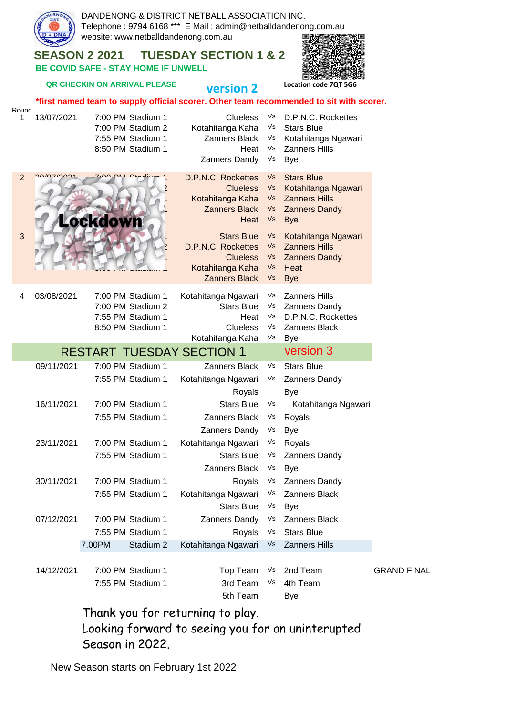

Thank you for returning to play. Looking forward to seeing you for an uninterupted Season in 2022.

New Season starts on February 1st 2022